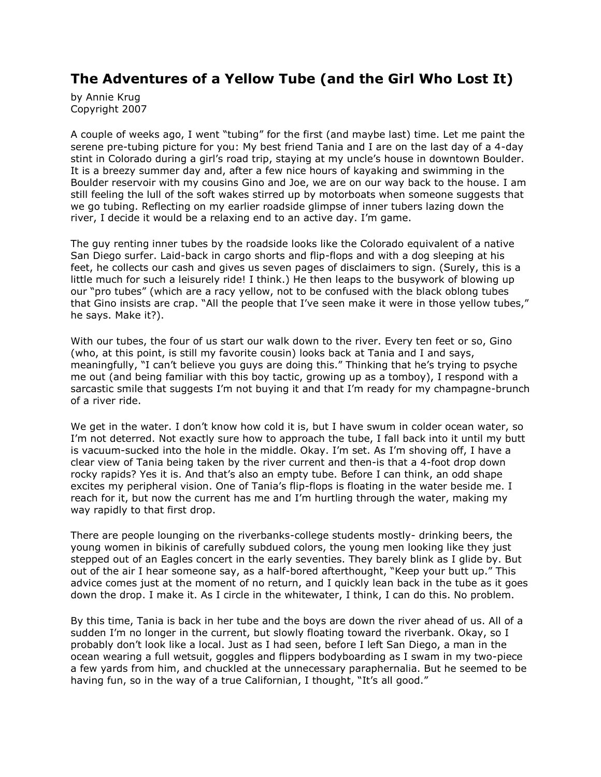## **The Adventures of a Yellow Tube (and the Girl Who Lost It)**

by Annie Krug Copyright 2007

A couple of weeks ago, I went "tubing" for the first (and maybe last) time. Let me paint the serene pre-tubing picture for you: My best friend Tania and I are on the last day of a 4-day stint in Colorado during a girl's road trip, staying at my uncle's house in downtown Boulder. It is a breezy summer day and, after a few nice hours of kayaking and swimming in the Boulder reservoir with my cousins Gino and Joe, we are on our way back to the house. I am still feeling the lull of the soft wakes stirred up by motorboats when someone suggests that we go tubing. Reflecting on my earlier roadside glimpse of inner tubers lazing down the river, I decide it would be a relaxing end to an active day. I'm game.

The guy renting inner tubes by the roadside looks like the Colorado equivalent of a native San Diego surfer. Laid-back in cargo shorts and flip-flops and with a dog sleeping at his feet, he collects our cash and gives us seven pages of disclaimers to sign. (Surely, this is a little much for such a leisurely ride! I think.) He then leaps to the busywork of blowing up our "pro tubes" (which are a racy yellow, not to be confused with the black oblong tubes that Gino insists are crap. "All the people that I've seen make it were in those yellow tubes," he says. Make it?).

With our tubes, the four of us start our walk down to the river. Every ten feet or so, Gino (who, at this point, is still my favorite cousin) looks back at Tania and I and says, meaningfully, "I can't believe you guys are doing this." Thinking that he's trying to psyche me out (and being familiar with this boy tactic, growing up as a tomboy), I respond with a sarcastic smile that suggests I'm not buying it and that I'm ready for my champagne-brunch of a river ride.

We get in the water. I don't know how cold it is, but I have swum in colder ocean water, so I'm not deterred. Not exactly sure how to approach the tube, I fall back into it until my butt is vacuum-sucked into the hole in the middle. Okay. I'm set. As I'm shoving off, I have a clear view of Tania being taken by the river current and then-is that a 4-foot drop down rocky rapids? Yes it is. And that's also an empty tube. Before I can think, an odd shape excites my peripheral vision. One of Tania's flip-flops is floating in the water beside me. I reach for it, but now the current has me and I'm hurtling through the water, making my way rapidly to that first drop.

There are people lounging on the riverbanks-college students mostly- drinking beers, the young women in bikinis of carefully subdued colors, the young men looking like they just stepped out of an Eagles concert in the early seventies. They barely blink as I glide by. But out of the air I hear someone say, as a half-bored afterthought, "Keep your butt up." This advice comes just at the moment of no return, and I quickly lean back in the tube as it goes down the drop. I make it. As I circle in the whitewater, I think, I can do this. No problem.

By this time, Tania is back in her tube and the boys are down the river ahead of us. All of a sudden I'm no longer in the current, but slowly floating toward the riverbank. Okay, so I probably don't look like a local. Just as I had seen, before I left San Diego, a man in the ocean wearing a full wetsuit, goggles and flippers bodyboarding as I swam in my two-piece a few yards from him, and chuckled at the unnecessary paraphernalia. But he seemed to be having fun, so in the way of a true Californian, I thought, "It's all good."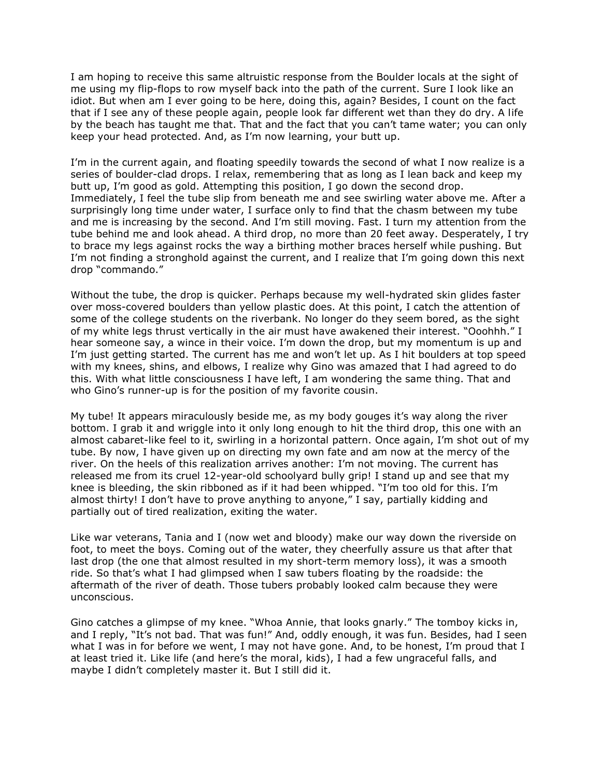I am hoping to receive this same altruistic response from the Boulder locals at the sight of me using my flip-flops to row myself back into the path of the current. Sure I look like an idiot. But when am I ever going to be here, doing this, again? Besides, I count on the fact that if I see any of these people again, people look far different wet than they do dry. A life by the beach has taught me that. That and the fact that you can't tame water; you can only keep your head protected. And, as I'm now learning, your butt up.

I'm in the current again, and floating speedily towards the second of what I now realize is a series of boulder-clad drops. I relax, remembering that as long as I lean back and keep my butt up, I'm good as gold. Attempting this position, I go down the second drop. Immediately, I feel the tube slip from beneath me and see swirling water above me. After a surprisingly long time under water, I surface only to find that the chasm between my tube and me is increasing by the second. And I'm still moving. Fast. I turn my attention from the tube behind me and look ahead. A third drop, no more than 20 feet away. Desperately, I try to brace my legs against rocks the way a birthing mother braces herself while pushing. But I'm not finding a stronghold against the current, and I realize that I'm going down this next drop "commando."

Without the tube, the drop is quicker. Perhaps because my well-hydrated skin glides faster over moss-covered boulders than yellow plastic does. At this point, I catch the attention of some of the college students on the riverbank. No longer do they seem bored, as the sight of my white legs thrust vertically in the air must have awakened their interest. "Ooohhh." I hear someone say, a wince in their voice. I'm down the drop, but my momentum is up and I'm just getting started. The current has me and won't let up. As I hit boulders at top speed with my knees, shins, and elbows, I realize why Gino was amazed that I had agreed to do this. With what little consciousness I have left, I am wondering the same thing. That and who Gino's runner-up is for the position of my favorite cousin.

My tube! It appears miraculously beside me, as my body gouges it's way along the river bottom. I grab it and wriggle into it only long enough to hit the third drop, this one with an almost cabaret-like feel to it, swirling in a horizontal pattern. Once again, I'm shot out of my tube. By now, I have given up on directing my own fate and am now at the mercy of the river. On the heels of this realization arrives another: I'm not moving. The current has released me from its cruel 12-year-old schoolyard bully grip! I stand up and see that my knee is bleeding, the skin ribboned as if it had been whipped. "I'm too old for this. I'm almost thirty! I don't have to prove anything to anyone," I say, partially kidding and partially out of tired realization, exiting the water.

Like war veterans, Tania and I (now wet and bloody) make our way down the riverside on foot, to meet the boys. Coming out of the water, they cheerfully assure us that after that last drop (the one that almost resulted in my short-term memory loss), it was a smooth ride. So that's what I had glimpsed when I saw tubers floating by the roadside: the aftermath of the river of death. Those tubers probably looked calm because they were unconscious.

Gino catches a glimpse of my knee. "Whoa Annie, that looks gnarly." The tomboy kicks in, and I reply, "It's not bad. That was fun!" And, oddly enough, it was fun. Besides, had I seen what I was in for before we went, I may not have gone. And, to be honest, I'm proud that I at least tried it. Like life (and here's the moral, kids), I had a few ungraceful falls, and maybe I didn't completely master it. But I still did it.